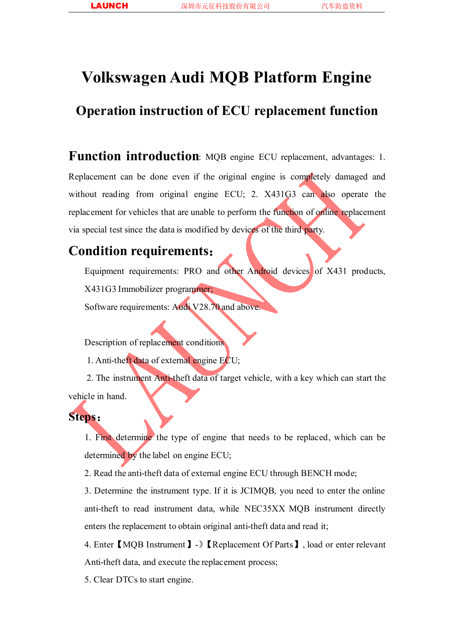# **Volkswagen Audi MQB Platform Engine**

## **Operation instruction of ECU replacement function**

**Function introduction**: MQB engine ECU replacement, advantages: 1. Replacement can be done even if the original engine is completely damaged and without reading from original engine ECU; 2. X431G3 can also operate the replacement for vehicles that are unable to perform the function of online replacement via special test since the data is modified by devices of the third party.

### **Condition requirements**:

Equipment requirements: PRO and other Android devices of X431 products, X431G3 Immobilizer programmer;

Software requirements: Audi V28.70 and above.

Description of replacement conditions

1. Anti-theft data of external engine ECU;

2. The instrument Anti-theft data of target vehicle, with a key which can start the vehicle in hand.

### **Steps**:

1. First determine the type of engine that needs to be replaced, which can be determined by the label on engine ECU;

2. Read the anti-theft data of external engine ECU through BENCH mode;

3. Determine the instrument type. If it is JCIMQB, you need to enter the online anti-theft to read instrument data, while NEC35XX MQB instrument directly enters the replacement to obtain original anti-theft data and read it;

4. Enter【MQB Instrument】-》【Replacement Of Parts】, load or enter relevant Anti-theft data, and execute the replacement process;

5. Clear DTCs to start engine.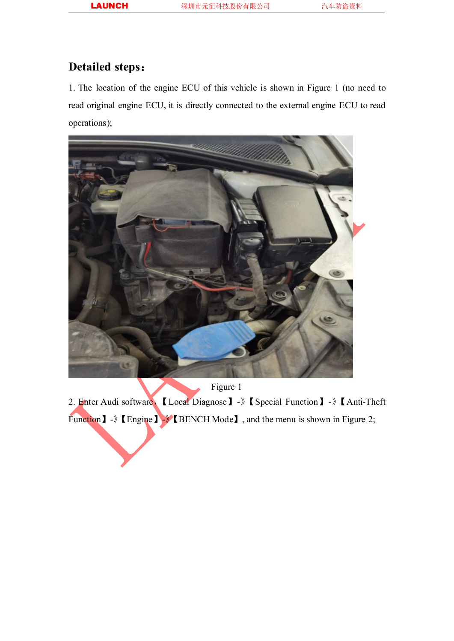## **Detailed steps**:

1. The location of the engine ECU of this vehicle is shown in Figure 1 (no need to read original engine ECU, it is directly connected to the external engine ECU to read operations);



Figure 1

2. Enter Audi software,【Local Diagnose】-》【Special Function】-》【Anti-Theft Function 1 - Engine 1 - EBENCH Mode 1, and the menu is shown in Figure 2;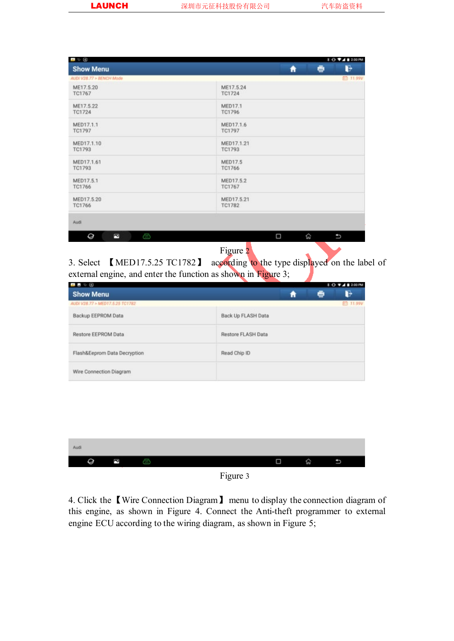| <b>Show Menu</b>             | G<br>e<br>Ħ          |
|------------------------------|----------------------|
| AUD/ V28.77 > BENCH Mode     | 田 11.99V             |
| ME17.5.20                    | ME17.5.24            |
| TC1767                       | TC1724               |
| ME17.5.22                    | <b>MED17.1</b>       |
| TC1724                       | TC1796               |
| MED17.1.1                    | MED17.1.6            |
| TC1797                       | TC1797               |
| MED17.1.10                   | MED17.1.21           |
| TC1793                       | TC1793               |
| MED17.1.61                   | <b>MED17.5</b>       |
| TC1793                       | TC1766               |
| MED17.5.1                    | MED17.5.2            |
| TC1766                       | TC1767               |
|                              | MED17.5.21<br>TC1782 |
|                              |                      |
| MED17.5.20<br>TC1766<br>Audi |                      |

Figure 2

3. Select 【MED17.5.25 TC1782】 according to the type displayed on the label of external engine, and enter the function as shown in Figure 3;

| .                               |                    |   |   | <b>10 ₩⊿8 200 PM</b> |
|---------------------------------|--------------------|---|---|----------------------|
| <b>Show Menu</b>                |                    | π | ē | B                    |
| AUD/ V28.77 > MED17.5.25 TC1782 |                    |   |   | ED 11.99V            |
| Backup EEPROM Data              | Back Up FLASH Data |   |   |                      |
| Restore EEPROM Data             | Restore FLASH Data |   |   |                      |
| Flash&Eeprom Data Decryption    | Read Chip ID       |   |   |                      |
| Wire Connection Diagram         |                    |   |   |                      |

| Audi |   |  |      |    |               |  |
|------|---|--|------|----|---------------|--|
| g    | Č |  |      | 71 | <b>Lesson</b> |  |
|      |   |  | $ -$ |    |               |  |

#### Figure 3

4. Click the 【Wire Connection Diagram】 menu to display the connection diagram of this engine, as shown in Figure 4. Connect the Anti-theft programmer to external engine ECU according to the wiring diagram, as shown in Figure 5;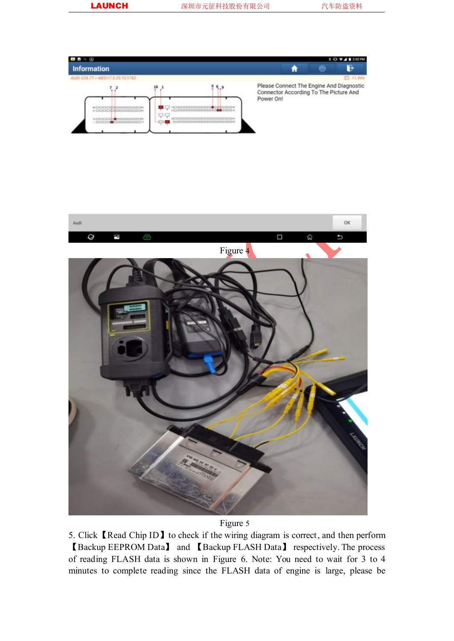



#### Figure 5

5. Click【Read Chip ID】to check if the wiring diagram is correct, and then perform 【Backup EEPROM Data】 and 【Backup FLASH Data】 respectively. The process of reading FLASH data is shown in Figure 6. Note: You need to wait for 3 to 4 minutes to complete reading since the FLASH data of engine is large, please be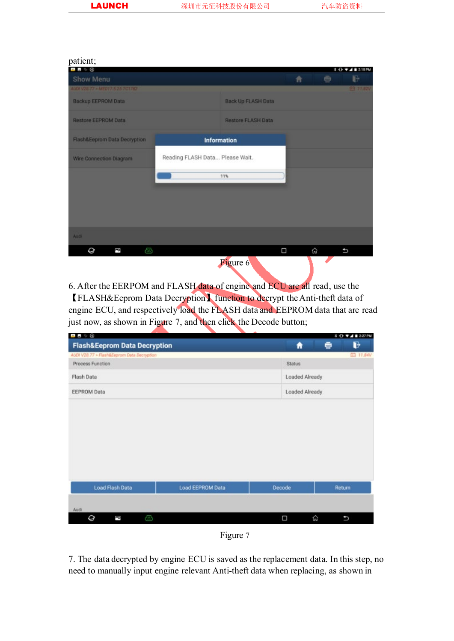#### patient;

| .                                       |                                 |                           |   | 8 0 V 4 8 2:18 PM |
|-----------------------------------------|---------------------------------|---------------------------|---|-------------------|
| <b>Show Menu</b>                        |                                 | 青                         | ÷ | E                 |
| AUDI V28.77 > ME017.5.25 TC1782         |                                 |                           |   | <b>BB 11.82V</b>  |
| Backup EEPROM Data                      |                                 | <b>Back Up FLASH Data</b> |   |                   |
| <b>Restore EEPROM Data</b>              |                                 | <b>Restore FLASH Data</b> |   |                   |
| <b>Flash&amp;Eeprom Data Decryption</b> | <b>Information</b>              |                           |   |                   |
| <b>Wire Connection Diagram</b>          | Reading FLASH Data Please Wait. |                           |   |                   |
|                                         | 11%                             |                           |   |                   |
|                                         |                                 |                           |   |                   |
|                                         |                                 |                           |   |                   |
|                                         |                                 |                           |   |                   |
| Audi                                    |                                 |                           |   |                   |
| Q<br>O<br>P                             |                                 | Ω                         | 仚 | υ                 |
|                                         | Figure 6                        |                           |   |                   |

6. After the EERPOM and FLASH data of engine and ECU are all read, use the 【FLASH&Eeprom Data Decryption】function to decrypt theAnti-theft data of engine ECU, and respectively load the FLASH data and EEPROM data that are read just now, as shown in Figure 7, and then click the Decode button;

| <b>Flash&amp;Eeprom Data Decryption</b><br>AUDI V28.77 > Flash&Eeprom Data Decryption<br>Process Function |                  | Ħ<br><b>Status</b> | B<br>÷          |
|-----------------------------------------------------------------------------------------------------------|------------------|--------------------|-----------------|
|                                                                                                           |                  |                    | <b>白 11.84V</b> |
|                                                                                                           |                  |                    |                 |
|                                                                                                           |                  |                    |                 |
| Flash Data                                                                                                |                  | Loaded Already     |                 |
| <b>EEPROM Data</b>                                                                                        |                  | Loaded Already     |                 |
| <b>Load Flash Data</b>                                                                                    | Load EEPROM Data | Decode             | Return          |
| Audi                                                                                                      |                  |                    |                 |
|                                                                                                           |                  |                    |                 |



7. The data decrypted by engine ECU is saved as the replacement data. In this step, no need to manually input engine relevant Anti-theft data when replacing, as shown in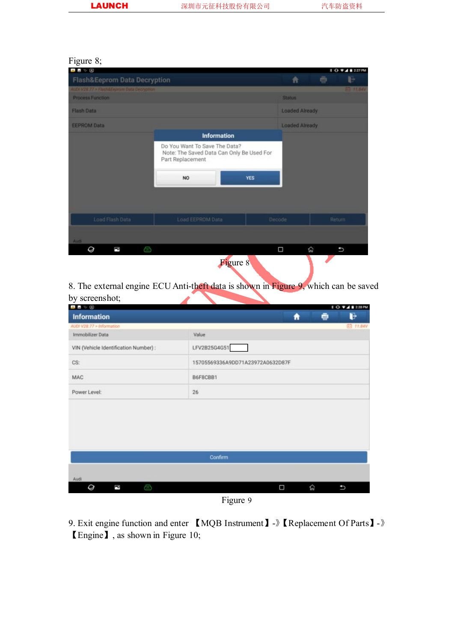#### Figure 8;

| .                                          |                                                                                                |            |                       |         | 10 TAB227PM      |
|--------------------------------------------|------------------------------------------------------------------------------------------------|------------|-----------------------|---------|------------------|
| Flash&Eeprom Data Decryption               |                                                                                                |            | 青                     | ÷       | Þ                |
| AUDI V28.77 > Flash&Eeprom Data Decryption |                                                                                                |            |                       |         | <b>ED 11.84V</b> |
| <b>Process Function</b>                    |                                                                                                |            | <b>Status</b>         |         |                  |
| Flash Data                                 |                                                                                                |            | <b>Loaded Already</b> |         |                  |
| <b>EEPROM Data</b>                         |                                                                                                |            | <b>Loaded Already</b> |         |                  |
|                                            | <b>Information</b>                                                                             |            |                       |         |                  |
|                                            | Do You Want To Save The Data?<br>Note: The Saved Data Can Only Be Used For<br>Part Replacement |            |                       |         |                  |
|                                            | <b>NO</b>                                                                                      | <b>YES</b> |                       |         |                  |
| Load Flash Data                            | Load EEPROM Data                                                                               | Decode     |                       | Return. |                  |
|                                            |                                                                                                |            |                       |         |                  |
| Audi                                       |                                                                                                |            |                       |         |                  |
| G<br>Q<br>ă                                |                                                                                                | Ω          | 仑                     |         | U                |
|                                            | <b>Figure 8</b>                                                                                |            |                       |         |                  |

8. The external engine ECU Anti-theft data is shown in Figure 9, which can be saved by screenshot;

| .                                     |                                  |   |   | <b>8 0 7 4 8 228 PM</b> |
|---------------------------------------|----------------------------------|---|---|-------------------------|
| <b>Information</b>                    | A                                |   | ÷ | d                       |
| AUDI V28.77 > Information             |                                  |   |   | <b>白 11.84V</b>         |
| Immobilizer Data                      | Value                            |   |   |                         |
| VIN (Vehicle Identification Number) : | LFV2B25G4G51                     |   |   |                         |
| CS:                                   | 15705569336A9DD71A23972A0632D87F |   |   |                         |
| <b>MAC</b>                            | B6F8CBB1                         |   |   |                         |
| Power Level:                          | 26                               |   |   |                         |
|                                       | Confirm                          |   |   |                         |
| Audi                                  |                                  |   |   |                         |
| O<br>Q<br>P                           | Ω                                | 伱 |   | ь                       |
|                                       | $\overline{\phantom{a}}$         |   |   |                         |

Figure 9

9. Exit engine function and enter 【MQB Instrument】-》【Replacement Of Parts】-》 【Engine】, as shown in Figure 10;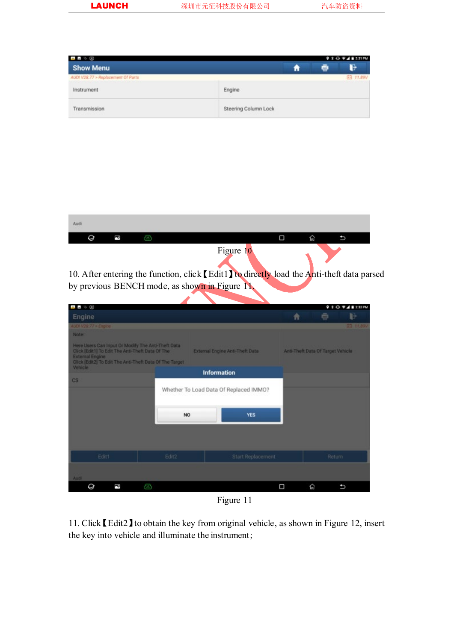| $-100$                                                                   |                      |  |   | $9.8$ O $\Psi$ 4 8 2:31 PM |
|--------------------------------------------------------------------------|----------------------|--|---|----------------------------|
| <b>Show Menu</b>                                                         |                      |  | ÷ | B                          |
| AUDI V28.77 > Replacement Of Parts<br>wa kwakazi kutoka mwaka wa 1990 wa |                      |  |   | 白 11.89V                   |
| Instrument                                                               | Engine               |  |   |                            |
| Transmission                                                             | Steering Column Lock |  |   |                            |

| Audi |  |           |      |  |
|------|--|-----------|------|--|
|      |  |           | ໄກມ່ |  |
|      |  | Figure 10 |      |  |

10. After entering the function, click [Edit1] to directly load the Anti-theft data parsed by previous BENCH mode, as shown in Figure 11.

| $\blacksquare$ $\heartsuit$                                                                                                                                                                 |           |                                        |   | 9.8                               | <b>2.12 PM</b><br>∩ |
|---------------------------------------------------------------------------------------------------------------------------------------------------------------------------------------------|-----------|----------------------------------------|---|-----------------------------------|---------------------|
| Engine                                                                                                                                                                                      |           |                                        | Ħ | ē                                 | Þ                   |
| AUDI V28.77 > Engine                                                                                                                                                                        |           |                                        |   |                                   | E3 11.89V           |
| <b>Note:</b>                                                                                                                                                                                |           |                                        |   |                                   |                     |
| Here Users Can Input Or Modify The Anti-Theft Data<br>Click [Edit1] To Edit The Anti-Theft Data Of The<br><b>External Engine</b><br>Click [Edit2] To Edit The Anti-Theft Data Of The Target |           | External Engine Anti-Theft Data        |   | Anti-Theft Data Of Target Vehicle |                     |
| Vehicle                                                                                                                                                                                     |           | <b>Information</b>                     |   |                                   |                     |
| $\mathbb{C}\mathbb{S}$                                                                                                                                                                      |           |                                        |   |                                   |                     |
|                                                                                                                                                                                             |           | Whether To Load Data Of Replaced IMMO? |   |                                   |                     |
|                                                                                                                                                                                             | <b>NO</b> | <b>YES</b>                             |   |                                   |                     |
|                                                                                                                                                                                             |           |                                        |   |                                   |                     |
| Edit1                                                                                                                                                                                       | Edit2     | Start Replacement                      |   | Return                            |                     |
| Audi                                                                                                                                                                                        |           |                                        |   |                                   |                     |
| É<br>Q                                                                                                                                                                                      | Ò         |                                        | Ω | 仚                                 | ٠                   |
|                                                                                                                                                                                             |           |                                        |   |                                   |                     |

Figure 11

11. Click【Edit2】to obtain the key from original vehicle, as shown in Figure 12, insert the key into vehicle and illuminate the instrument;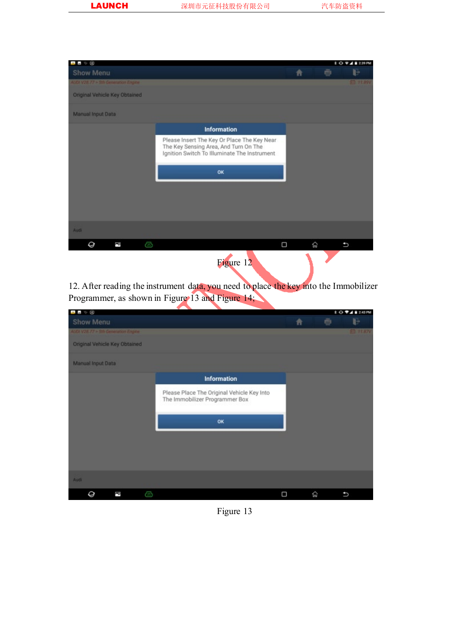| 山上で国                                |                                                                                                                                      |   |   |   | <b>3 0 9 4 8 2 39 PM</b> |
|-------------------------------------|--------------------------------------------------------------------------------------------------------------------------------------|---|---|---|--------------------------|
| Show Menu                           |                                                                                                                                      | 青 |   | ÷ | Þ                        |
| AUDI V28.77 > 5th Generation Engine |                                                                                                                                      |   |   |   | ED 17.89V                |
| Original Vehicle Key Obtained       |                                                                                                                                      |   |   |   |                          |
| <b>Manual Input Data</b>            |                                                                                                                                      |   |   |   |                          |
|                                     | Information                                                                                                                          |   |   |   |                          |
|                                     | Please Insert The Key Or Place The Key Near<br>The Key Sensing Area, And Turn On The<br>Ignition Switch To Illuminate The Instrument |   |   |   |                          |
|                                     | OK                                                                                                                                   |   |   |   |                          |
|                                     |                                                                                                                                      |   |   |   |                          |
|                                     |                                                                                                                                      |   |   |   |                          |
|                                     |                                                                                                                                      |   |   |   |                          |
| Audi                                |                                                                                                                                      |   |   |   |                          |
| Q<br>F<br>Ð                         |                                                                                                                                      | Ο | 仚 |   | t                        |
|                                     | Figure 12                                                                                                                            |   |   |   |                          |

12. After reading the instrument data, you need to place the key into the Immobilizer Programmer, as shown in Figure 13 and Figure 14;

| ●■ ≫ ④ |                          |                                     |   |                                                                              |   |   |   | 10 94 8 243 PM   |
|--------|--------------------------|-------------------------------------|---|------------------------------------------------------------------------------|---|---|---|------------------|
|        | Show Menu                |                                     |   |                                                                              | 青 |   | ÷ | D                |
|        |                          | AUDI V28.77 > 5th Generation Engine |   |                                                                              |   |   |   | <b>ED 17.87V</b> |
|        |                          | Original Vehicle Key Obtained       |   |                                                                              |   |   |   |                  |
|        | <b>Manual Input Data</b> |                                     |   |                                                                              |   |   |   |                  |
|        |                          |                                     |   | <b>Information</b>                                                           |   |   |   |                  |
|        |                          |                                     |   | Please Place The Original Vehicle Key Into<br>The Immobilizer Programmer Box |   |   |   |                  |
|        |                          |                                     |   | OK                                                                           |   |   |   |                  |
|        |                          |                                     |   |                                                                              |   |   |   |                  |
|        |                          |                                     |   |                                                                              |   |   |   |                  |
| Audi   |                          |                                     |   |                                                                              |   |   |   |                  |
|        | Q                        | P                                   | G |                                                                              | Ω | 俞 |   | P                |

Figure 13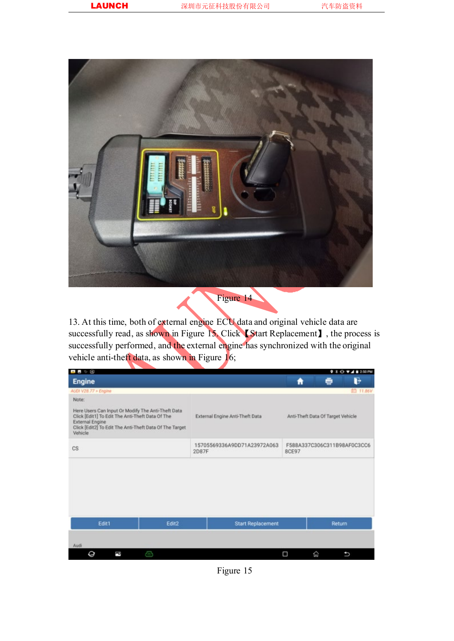

13. At this time, both of external engine ECU data and original vehicle data are successfully read, as shown in Figure 15. Click [Start Replacement], the process is successfully performed, and the external engine has synchronized with the original vehicle anti-theft data, as shown in Figure  $16$ ;

| ■■⇒④                                                                                                                                                                                                            |                   |                                      |                          |                                      |                                   | $9 * 0 * 4 * 250$ PM |  |
|-----------------------------------------------------------------------------------------------------------------------------------------------------------------------------------------------------------------|-------------------|--------------------------------------|--------------------------|--------------------------------------|-----------------------------------|----------------------|--|
| <b>Engine</b>                                                                                                                                                                                                   |                   |                                      |                          | Ħ                                    | a                                 | B                    |  |
| AUDI V28.77 > Engine                                                                                                                                                                                            |                   |                                      |                          |                                      |                                   | 白 11.86V             |  |
| Note:<br>Here Users Can Input Or Modify The Anti-Theft Data<br>Click [Edit1] To Edit The Anti-Theft Data Of The<br><b>External Engine</b><br>Click [Edit2] To Edit The Anti-Theft Data Of The Target<br>Vehicle |                   | External Engine Anti-Theft Data      |                          |                                      | Anti-Theft Data Of Target Vehicle |                      |  |
| <b>CS</b>                                                                                                                                                                                                       |                   | 15705569336A9DD71A23972A063<br>2D87F |                          | F588A337C306C311B98AF0C3CC6<br>8CE97 |                                   |                      |  |
|                                                                                                                                                                                                                 |                   |                                      |                          |                                      |                                   |                      |  |
| Edit1<br>Audi                                                                                                                                                                                                   | Edit <sub>2</sub> |                                      | <b>Start Replacement</b> |                                      |                                   | Return               |  |
| Q<br>ā                                                                                                                                                                                                          | æ                 |                                      |                          | Ω                                    | 仚                                 | t                    |  |

Figure 15